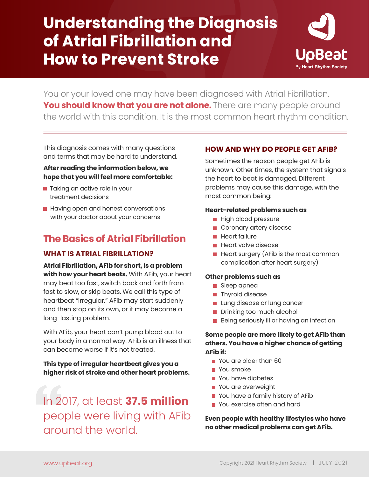# **Understanding the Diagnosis of Atrial Fibrillation and How to Prevent Stroke**



You or your loved one may have been diagnosed with Atrial Fibrillation. You should know that you are not alone. There are many people around the world with this condition. It is the most common heart rhythm condition.

This diagnosis comes with many questions and terms that may be hard to understand.

# **After reading the information below, we hope that you will feel more comfortable:**

- **Taking an active role in your** treatment decisions
- $\blacksquare$  Having open and honest conversations with your doctor about your concerns

# **The Basics of Atrial Fibrillation**

# **WHAT IS ATRIAL FIBRILLATION?**

**Atrial Fibrillation, AFib for short, is a problem with how your heart beats.** With AFib, your heart may beat too fast, switch back and forth from fast to slow, or skip beats. We call this type of heartbeat "irregular." AFib may start suddenly and then stop on its own, or it may become a long-lasting problem.

With AFib, your heart can't pump blood out to your body in a normal way. AFib is an illness that can become worse if it's not treated.

**This type of irregular heartbeat gives you a higher risk of stroke and other heart problems.**

In 2017, at least **37.5 million**  people were living with AFib around the world.

# **HOW AND WHY DO PEOPLE GET AFIB?**

Sometimes the reason people get AFib is unknown. Other times, the system that signals the heart to beat is damaged. Different problems may cause this damage, with the most common being:

### **Heart-related problems such as**

- **High blood pressure**
- Coronary artery disease
- $\blacksquare$  Heart failure
- **Heart valve disease**
- $\blacksquare$  Heart surgery (AFib is the most common complication after heart surgery)

#### **Other problems such as**

- Sleep apnea
- **Thyroid disease**
- **Lung disease or lung cancer**
- Drinking too much alcohol
- Being seriously ill or having an infection

# **Some people are more likely to get AFib than others. You have a higher chance of getting AFib if:**

- **P** You are older than 60
- You smoke
- You have diabetes
- **You are overweight**
- You have a family history of AFib
- **P** You exercise often and hard

# **Even people with healthy lifestyles who have no other medical problems can get AFib.**